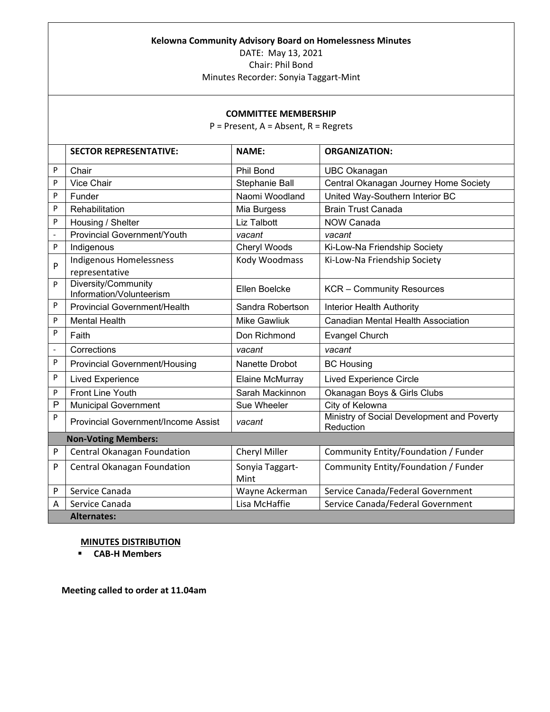### **Kelowna Community Advisory Board on Homelessness Minutes**

DATE: May 13, 2021 Chair: Phil Bond

Minutes Recorder: Sonyia Taggart-Mint

### **COMMITTEE MEMBERSHIP**

P = Present, A = Absent, R = Regrets

|                          | <b>SECTOR REPRESENTATIVE:</b>                   | <b>NAME:</b>            | <b>ORGANIZATION:</b>                                    |
|--------------------------|-------------------------------------------------|-------------------------|---------------------------------------------------------|
| P                        | Chair                                           | <b>Phil Bond</b>        | <b>UBC Okanagan</b>                                     |
| P                        | <b>Vice Chair</b>                               | Stephanie Ball          | Central Okanagan Journey Home Society                   |
| P                        | Funder                                          | Naomi Woodland          | United Way-Southern Interior BC                         |
| P                        | Rehabilitation                                  | Mia Burgess             | <b>Brain Trust Canada</b>                               |
| P                        | Housing / Shelter                               | <b>Liz Talbott</b>      | <b>NOW Canada</b>                                       |
| $\overline{\phantom{a}}$ | <b>Provincial Government/Youth</b>              | vacant                  | vacant                                                  |
| P                        | Indigenous                                      | Cheryl Woods            | Ki-Low-Na Friendship Society                            |
| P                        | Indigenous Homelessness<br>representative       | Kody Woodmass           | Ki-Low-Na Friendship Society                            |
| P                        | Diversity/Community<br>Information/Volunteerism | Ellen Boelcke           | <b>KCR</b> – Community Resources                        |
| P                        | <b>Provincial Government/Health</b>             | Sandra Robertson        | Interior Health Authority                               |
| P                        | <b>Mental Health</b>                            | <b>Mike Gawliuk</b>     | <b>Canadian Mental Health Association</b>               |
| P                        | Faith                                           | Don Richmond            | <b>Evangel Church</b>                                   |
| $\blacksquare$           | Corrections                                     | vacant                  | vacant                                                  |
| P                        | <b>Provincial Government/Housing</b>            | Nanette Drobot          | <b>BC Housing</b>                                       |
| P                        | <b>Lived Experience</b>                         | Elaine McMurray         | <b>Lived Experience Circle</b>                          |
| P                        | <b>Front Line Youth</b>                         | Sarah Mackinnon         | Okanagan Boys & Girls Clubs                             |
| P                        | <b>Municipal Government</b>                     | Sue Wheeler             | City of Kelowna                                         |
| P                        | <b>Provincial Government/Income Assist</b>      | vacant                  | Ministry of Social Development and Poverty<br>Reduction |
|                          | <b>Non-Voting Members:</b>                      |                         |                                                         |
| P                        | Central Okanagan Foundation                     | Cheryl Miller           | Community Entity/Foundation / Funder                    |
| P                        | Central Okanagan Foundation                     | Sonyia Taggart-<br>Mint | Community Entity/Foundation / Funder                    |
| P                        | Service Canada                                  | Wayne Ackerman          | Service Canada/Federal Government                       |
| Α                        | Service Canada                                  | Lisa McHaffie           | Service Canada/Federal Government                       |
|                          | <b>Alternates:</b>                              |                         |                                                         |

### **MINUTES DISTRIBUTION**

**CAB-H Members**

**Meeting called to order at 11.04am**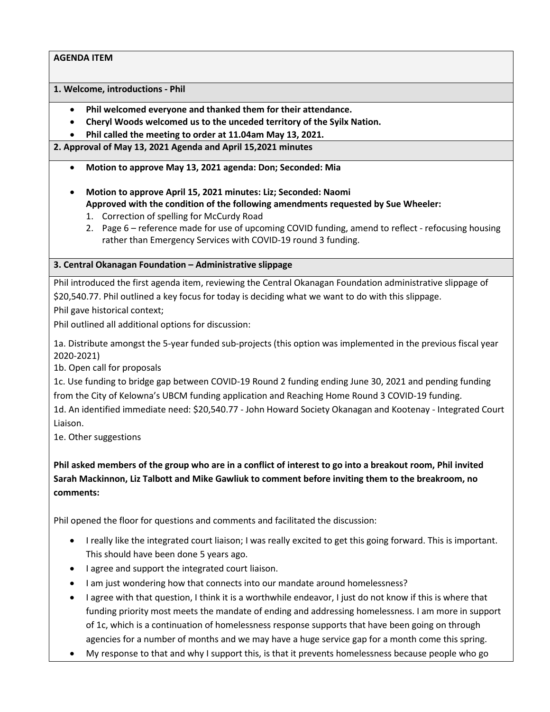**1. Welcome, introductions - Phil**

- **Phil welcomed everyone and thanked them for their attendance.**
- **Cheryl Woods welcomed us to the unceded territory of the Syilx Nation.**

• **Phil called the meeting to order at 11.04am May 13, 2021.**

**2. Approval of May 13, 2021 Agenda and April 15,2021 minutes**

- **Motion to approve May 13, 2021 agenda: Don; Seconded: Mia**
- **Motion to approve April 15, 2021 minutes: Liz; Seconded: Naomi Approved with the condition of the following amendments requested by Sue Wheeler:**
	- 1. Correction of spelling for McCurdy Road
	- 2. Page 6 reference made for use of upcoming COVID funding, amend to reflect refocusing housing rather than Emergency Services with COVID-19 round 3 funding.

# **3. Central Okanagan Foundation – Administrative slippage**

Phil introduced the first agenda item, reviewing the Central Okanagan Foundation administrative slippage of \$20,540.77. Phil outlined a key focus for today is deciding what we want to do with this slippage. Phil gave historical context;

Phil outlined all additional options for discussion:

1a. Distribute amongst the 5-year funded sub-projects (this option was implemented in the previous fiscal year 2020-2021)

1b. Open call for proposals

1c. Use funding to bridge gap between COVID-19 Round 2 funding ending June 30, 2021 and pending funding from the City of Kelowna's UBCM funding application and Reaching Home Round 3 COVID-19 funding. 1d. An identified immediate need: \$20,540.77 - John Howard Society Okanagan and Kootenay - Integrated Court Liaison.

1e. Other suggestions

**Phil asked members of the group who are in a conflict of interest to go into a breakout room, Phil invited Sarah Mackinnon, Liz Talbott and Mike Gawliuk to comment before inviting them to the breakroom, no comments:**

Phil opened the floor for questions and comments and facilitated the discussion:

- I really like the integrated court liaison; I was really excited to get this going forward. This is important. This should have been done 5 years ago.
- I agree and support the integrated court liaison.
- I am just wondering how that connects into our mandate around homelessness?
- I agree with that question, I think it is a worthwhile endeavor, I just do not know if this is where that funding priority most meets the mandate of ending and addressing homelessness. I am more in support of 1c, which is a continuation of homelessness response supports that have been going on through agencies for a number of months and we may have a huge service gap for a month come this spring.
- My response to that and why I support this, is that it prevents homelessness because people who go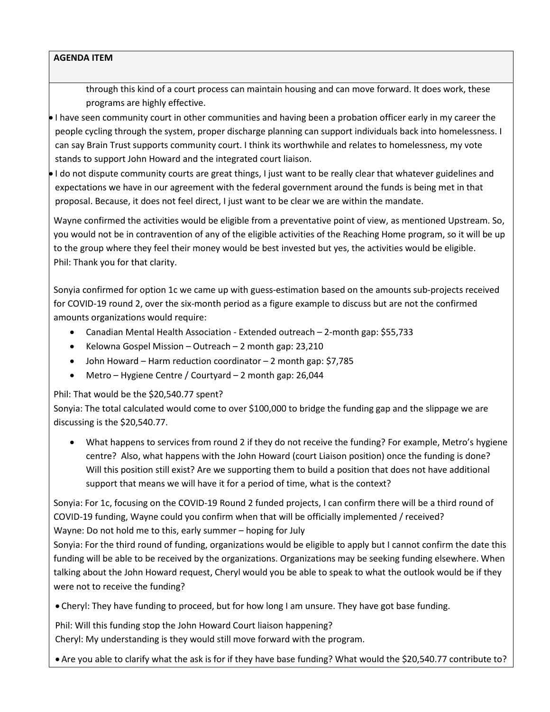through this kind of a court process can maintain housing and can move forward. It does work, these programs are highly effective.

• I have seen community court in other communities and having been a probation officer early in my career the people cycling through the system, proper discharge planning can support individuals back into homelessness. I can say Brain Trust supports community court. I think its worthwhile and relates to homelessness, my vote stands to support John Howard and the integrated court liaison.

• I do not dispute community courts are great things, I just want to be really clear that whatever guidelines and expectations we have in our agreement with the federal government around the funds is being met in that proposal. Because, it does not feel direct, I just want to be clear we are within the mandate.

Wayne confirmed the activities would be eligible from a preventative point of view, as mentioned Upstream. So, you would not be in contravention of any of the eligible activities of the Reaching Home program, so it will be up to the group where they feel their money would be best invested but yes, the activities would be eligible. Phil: Thank you for that clarity.

Sonyia confirmed for option 1c we came up with guess-estimation based on the amounts sub-projects received for COVID-19 round 2, over the six-month period as a figure example to discuss but are not the confirmed amounts organizations would require:

- Canadian Mental Health Association Extended outreach 2-month gap: \$55,733
- Kelowna Gospel Mission Outreach 2 month gap: 23,210
- John Howard Harm reduction coordinator 2 month gap: \$7,785
- Metro Hygiene Centre / Courtyard 2 month gap: 26,044

# Phil: That would be the \$20,540.77 spent?

Sonyia: The total calculated would come to over \$100,000 to bridge the funding gap and the slippage we are discussing is the \$20,540.77.

• What happens to services from round 2 if they do not receive the funding? For example, Metro's hygiene centre? Also, what happens with the John Howard (court Liaison position) once the funding is done? Will this position still exist? Are we supporting them to build a position that does not have additional support that means we will have it for a period of time, what is the context?

Sonyia: For 1c, focusing on the COVID-19 Round 2 funded projects, I can confirm there will be a third round of COVID-19 funding, Wayne could you confirm when that will be officially implemented / received? Wayne: Do not hold me to this, early summer – hoping for July

Sonyia: For the third round of funding, organizations would be eligible to apply but I cannot confirm the date this funding will be able to be received by the organizations. Organizations may be seeking funding elsewhere. When talking about the John Howard request, Cheryl would you be able to speak to what the outlook would be if they were not to receive the funding?

• Cheryl: They have funding to proceed, but for how long I am unsure. They have got base funding.

Phil: Will this funding stop the John Howard Court liaison happening?

Cheryl: My understanding is they would still move forward with the program.

• Are you able to clarify what the ask is for if they have base funding? What would the \$20,540.77 contribute to?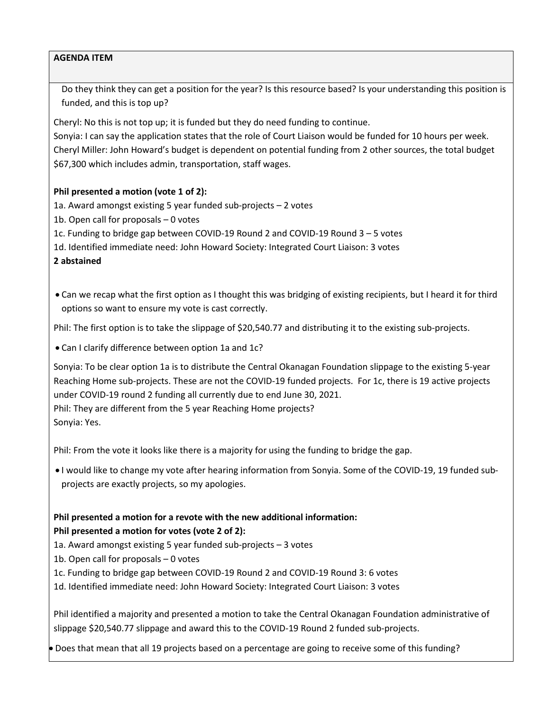Do they think they can get a position for the year? Is this resource based? Is your understanding this position is funded, and this is top up?

Cheryl: No this is not top up; it is funded but they do need funding to continue.

Sonyia: I can say the application states that the role of Court Liaison would be funded for 10 hours per week. Cheryl Miller: John Howard's budget is dependent on potential funding from 2 other sources, the total budget \$67,300 which includes admin, transportation, staff wages.

# **Phil presented a motion (vote 1 of 2):**

1a. Award amongst existing 5 year funded sub-projects – 2 votes

1b. Open call for proposals – 0 votes

1c. Funding to bridge gap between COVID-19 Round 2 and COVID-19 Round 3 – 5 votes

1d. Identified immediate need: John Howard Society: Integrated Court Liaison: 3 votes

**2 abstained** 

• Can we recap what the first option as I thought this was bridging of existing recipients, but I heard it for third options so want to ensure my vote is cast correctly.

Phil: The first option is to take the slippage of \$20,540.77 and distributing it to the existing sub-projects.

• Can I clarify difference between option 1a and 1c?

Sonyia: To be clear option 1a is to distribute the Central Okanagan Foundation slippage to the existing 5-year Reaching Home sub-projects. These are not the COVID-19 funded projects. For 1c, there is 19 active projects under COVID-19 round 2 funding all currently due to end June 30, 2021. Phil: They are different from the 5 year Reaching Home projects? Sonyia: Yes.

Phil: From the vote it looks like there is a majority for using the funding to bridge the gap.

• I would like to change my vote after hearing information from Sonyia. Some of the COVID-19, 19 funded subprojects are exactly projects, so my apologies.

# **Phil presented a motion for a revote with the new additional information: Phil presented a motion for votes (vote 2 of 2):**

- 1a. Award amongst existing 5 year funded sub-projects 3 votes
- 1b. Open call for proposals 0 votes
- 1c. Funding to bridge gap between COVID-19 Round 2 and COVID-19 Round 3: 6 votes
- 1d. Identified immediate need: John Howard Society: Integrated Court Liaison: 3 votes

Phil identified a majority and presented a motion to take the Central Okanagan Foundation administrative of slippage \$20,540.77 slippage and award this to the COVID-19 Round 2 funded sub-projects.

• Does that mean that all 19 projects based on a percentage are going to receive some of this funding?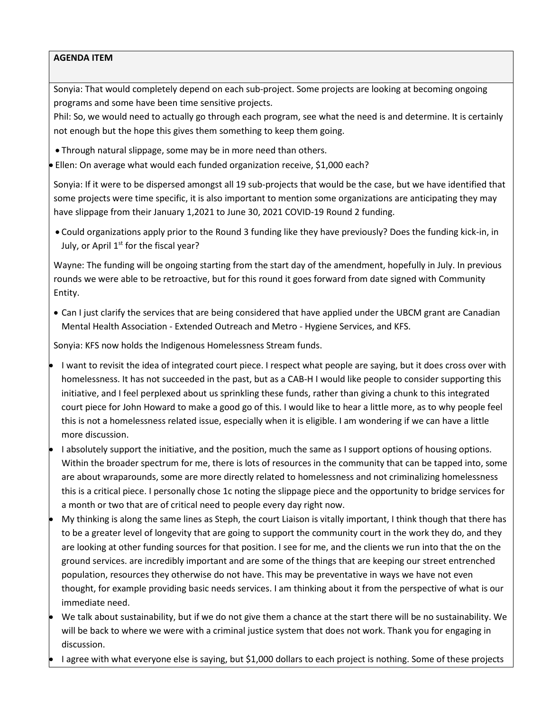Sonyia: That would completely depend on each sub-project. Some projects are looking at becoming ongoing programs and some have been time sensitive projects.

Phil: So, we would need to actually go through each program, see what the need is and determine. It is certainly not enough but the hope this gives them something to keep them going.

• Through natural slippage, some may be in more need than others.

• Ellen: On average what would each funded organization receive, \$1,000 each?

Sonyia: If it were to be dispersed amongst all 19 sub-projects that would be the case, but we have identified that some projects were time specific, it is also important to mention some organizations are anticipating they may have slippage from their January 1,2021 to June 30, 2021 COVID-19 Round 2 funding.

• Could organizations apply prior to the Round 3 funding like they have previously? Does the funding kick-in, in July, or April  $1<sup>st</sup>$  for the fiscal year?

Wayne: The funding will be ongoing starting from the start day of the amendment, hopefully in July. In previous rounds we were able to be retroactive, but for this round it goes forward from date signed with Community Entity.

• Can I just clarify the services that are being considered that have applied under the UBCM grant are Canadian Mental Health Association - Extended Outreach and Metro - Hygiene Services, and KFS.

Sonyia: KFS now holds the Indigenous Homelessness Stream funds.

- I want to revisit the idea of integrated court piece. I respect what people are saying, but it does cross over with homelessness. It has not succeeded in the past, but as a CAB-H I would like people to consider supporting this initiative, and I feel perplexed about us sprinkling these funds, rather than giving a chunk to this integrated court piece for John Howard to make a good go of this. I would like to hear a little more, as to why people feel this is not a homelessness related issue, especially when it is eligible. I am wondering if we can have a little more discussion.
- I absolutely support the initiative, and the position, much the same as I support options of housing options. Within the broader spectrum for me, there is lots of resources in the community that can be tapped into, some are about wraparounds, some are more directly related to homelessness and not criminalizing homelessness this is a critical piece. I personally chose 1c noting the slippage piece and the opportunity to bridge services for a month or two that are of critical need to people every day right now.
- My thinking is along the same lines as Steph, the court Liaison is vitally important, I think though that there has to be a greater level of longevity that are going to support the community court in the work they do, and they are looking at other funding sources for that position. I see for me, and the clients we run into that the on the ground services. are incredibly important and are some of the things that are keeping our street entrenched population, resources they otherwise do not have. This may be preventative in ways we have not even thought, for example providing basic needs services. I am thinking about it from the perspective of what is our immediate need.
- We talk about sustainability, but if we do not give them a chance at the start there will be no sustainability. We will be back to where we were with a criminal justice system that does not work. Thank you for engaging in discussion.
- I agree with what everyone else is saying, but \$1,000 dollars to each project is nothing. Some of these projects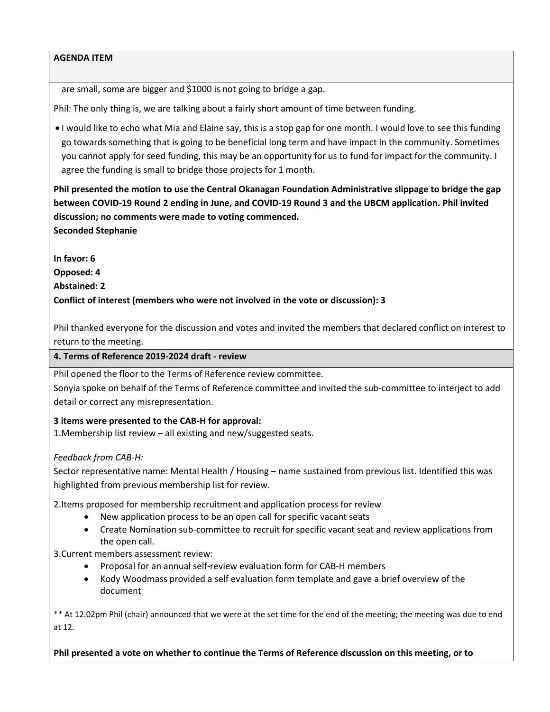are small, some are bigger and \$1000 is not going to bridge a gap.

Phil: The only thing is, we are talking about a fairly short amount of time between funding.

• I would like to echo what Mia and Elaine say, this is a stop gap for one month. I would love to see this funding go towards something that is going to be beneficial long term and have impact in the community. Sometimes you cannot apply for seed funding, this may be an opportunity for us to fund for impact for the community. I agree the funding is small to bridge those projects for 1 month.

**Phil presented the motion to use the Central Okanagan Foundation Administrative slippage to bridge the gap between COVID-19 Round 2 ending in June, and COVID-19 Round 3 and the UBCM application. Phil invited discussion; no comments were made to voting commenced. Seconded Stephanie**

**In favor: 6**

**Opposed: 4**

**Abstained: 2**

**Conflict of interest (members who were not involved in the vote or discussion): 3**

Phil thanked everyone for the discussion and votes and invited the members that declared conflict on interest to return to the meeting.

## **4. Terms of Reference 2019-2024 draft - review**

Phil opened the floor to the Terms of Reference review committee.

Sonyia spoke on behalf of the Terms of Reference committee and invited the sub-committee to interject to add detail or correct any misrepresentation.

# **3 items were presented to the CAB-H for approval:**

1.Membership list review – all existing and new/suggested seats.

# *Feedback from CAB-H:*

Sector representative name: Mental Health / Housing – name sustained from previous list. Identified this was highlighted from previous membership list for review.

2.Items proposed for membership recruitment and application process for review

- New application process to be an open call for specific vacant seats
- Create Nomination sub-committee to recruit for specific vacant seat and review applications from the open call.

3.Current members assessment review:

- Proposal for an annual self-review evaluation form for CAB-H members
- Kody Woodmass provided a self evaluation form template and gave a brief overview of the document

\*\* At 12.02pm Phil (chair) announced that we were at the set time for the end of the meeting; the meeting was due to end at 12.

**Phil presented a vote on whether to continue the Terms of Reference discussion on this meeting, or to**